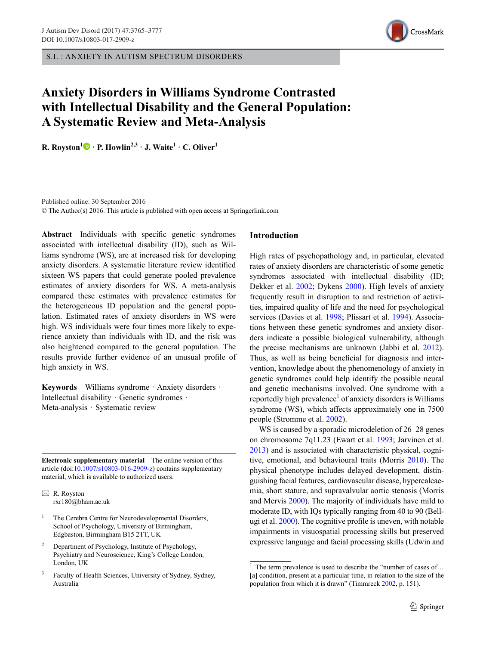S.I. : ANXiETY iN AUTisM SPECTRUM DisORdERs



# **Anxiety Disorders in Williams Syndrome Contrasted with Intellectual Disability and the General Population: A Systematic Review and Meta-Analysis**

**R. Royston**<sup>[1](http://orcid.org/0000-0002-9901-2284)</sup>  $\bullet$  **P. Howlin**<sup>2,3</sup> **· J. Waite**<sup>1</sup> **· C. Oliver**<sup>1</sup>

© The Author(s) 2016. This article is published with open access at Springerlink.com Published online: 30 September 2016

**Abstract** Individuals with specifc genetic syndromes associated with intellectual disability (ID), such as Williams syndrome (WS), are at increased risk for developing anxiety disorders. A systematic literature review identifed sixteen WS papers that could generate pooled prevalence estimates of anxiety disorders for WS. A meta-analysis compared these estimates with prevalence estimates for the heterogeneous ID population and the general population. Estimated rates of anxiety disorders in WS were high. WS individuals were four times more likely to experience anxiety than individuals with ID, and the risk was also heightened compared to the general population. The results provide further evidence of an unusual profle of high anxiety in WS.

**Keywords** Williams syndrome · Anxiety disorders · Intellectual disability · Genetic syndromes · Meta-analysis · Systematic review

**Electronic supplementary material** The online version of this article (doi[:10.1007/s10803-016-2909-z\)](http://dx.doi.org/10.1007/s10803-016-2909-z) contains supplementary material, which is available to authorized users.

 $\boxtimes$  R. Royston rxr180@bham.ac.uk

- The Cerebra Centre for Neurodevelopmental Disorders, School of Psychology, University of Birmingham, Edgbaston, Birmingham B15 2TT, UK
- <sup>2</sup> Department of Psychology, Institute of Psychology, Psychiatry and Neuroscience, King's College London, London, UK
- <sup>3</sup> Faculty of Health Sciences, University of Sydney, Sydney, Australia

# **Introduction**

High rates of psychopathology and, in particular, elevated rates of anxiety disorders are characteristic of some genetic syndromes associated with intellectual disability (ID; Dekker et al. [2002](#page-10-0); Dykens [2000](#page-10-1)). High levels of anxiety frequently result in disruption to and restriction of activities, impaired quality of life and the need for psychological services (Davies et al. [1998](#page-10-2); Plissart et al. [1994\)](#page-11-0). Associations between these genetic syndromes and anxiety disorders indicate a possible biological vulnerability, although the precise mechanisms are unknown (Jabbi et al. [2012](#page-10-3)). Thus, as well as being beneficial for diagnosis and intervention, knowledge about the phenomenology of anxiety in genetic syndromes could help identify the possible neural and genetic mechanisms involved. One syndrome with a reportedly high prevalence<sup>1</sup> of anxiety disorders is Williams syndrome (WS), which affects approximately one in 7500 people (Stromme et al. [2002\)](#page-11-1).

WS is caused by a sporadic microdeletion of  $26-28$  genes on chromosome 7q11.23 (Ewart et al. [1993;](#page-10-4) Jarvinen et al. [2013\)](#page-10-5) and is associated with characteristic physical, cognitive, emotional, and behavioural traits (Morris [2010](#page-11-2)). The physical phenotype includes delayed development, distinguishing facial features, cardiovascular disease, hypercalcaemia, short stature, and supravalvular aortic stenosis (Morris and Mervis [2000\)](#page-11-3). The majority of individuals have mild to moderate ID, with IQs typically ranging from 40 to 90 (Bellugi et al. [2000](#page-9-0)). The cognitive profle is uneven, with notable impairments in visuospatial processing skills but preserved expressive language and facial processing skills (Udwin and

<sup>&</sup>lt;sup>1</sup> The term prevalence is used to describe the "number of cases of... [a] condition, present at a particular time, in relation to the size of the population from which it is drawn" (Timmreck [2002](#page-11-4), p. 151).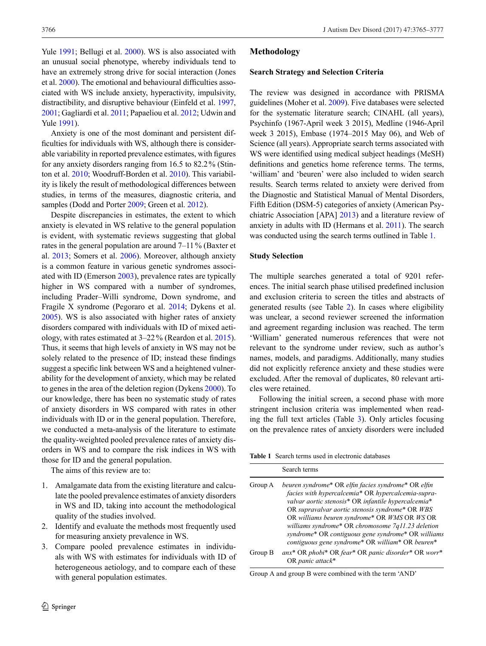Yule [1991](#page-11-6); Bellugi et al. [2000\)](#page-9-0). WS is also associated with an unusual social phenotype, whereby individuals tend to have an extremely strong drive for social interaction (Jones et al. [2000](#page-10-7)). The emotional and behavioural difficulties associated with WS include anxiety, hyperactivity, impulsivity, distractibility, and disruptive behaviour (Einfeld et al. [1997,](#page-10-8) [2001;](#page-10-9) Gagliardi et al. [2011;](#page-10-10) Papaeliou et al. [2012](#page-11-7); Udwin and Yule [1991](#page-11-6)).

Anxiety is one of the most dominant and persistent diffculties for individuals with WS, although there is considerable variability in reported prevalence estimates, with fgures for any anxiety disorders ranging from 16.5 to 82.2% (Stinton et al. [2010;](#page-11-8) Woodruff-Borden et al. [2010](#page-12-0)). This variability is likely the result of methodological differences between studies, in terms of the measures, diagnostic criteria, and samples (Dodd and Porter [2009](#page-10-11); Green et al. [2012](#page-10-12)).

Despite discrepancies in estimates, the extent to which anxiety is elevated in WS relative to the general population is evident, with systematic reviews suggesting that global rates in the general population are around 7–11% (Baxter et al. [2013](#page-9-2); Somers et al. [2006](#page-11-9)). Moreover, although anxiety is a common feature in various genetic syndromes associated with ID (Emerson [2003](#page-10-13)), prevalence rates are typically higher in WS compared with a number of syndromes, including Prader–Willi syndrome, Down syndrome, and Fragile X syndrome (Pegoraro et al. [2014;](#page-11-10) Dykens et al. [2005](#page-10-14)). WS is also associated with higher rates of anxiety disorders compared with individuals with ID of mixed aetiology, with rates estimated at 3–22% (Reardon et al. [2015](#page-11-11)). Thus, it seems that high levels of anxiety in WS may not be solely related to the presence of ID; instead these fndings suggest a specifc link between WS and a heightened vulnerability for the development of anxiety, which may be related to genes in the area of the deletion region (Dykens [2000](#page-10-1)). To our knowledge, there has been no systematic study of rates of anxiety disorders in WS compared with rates in other individuals with ID or in the general population. Therefore, we conducted a meta-analysis of the literature to estimate the quality-weighted pooled prevalence rates of anxiety disorders in WS and to compare the risk indices in WS with those for ID and the general population.

The aims of this review are to:

- 1. Amalgamate data from the existing literature and calculate the pooled prevalence estimates of anxiety disorders in WS and ID, taking into account the methodological quality of the studies involved.
- 2. Identify and evaluate the methods most frequently used for measuring anxiety prevalence in WS.
- 3. Compare pooled prevalence estimates in individuals with WS with estimates for individuals with ID of heterogeneous aetiology, and to compare each of these with general population estimates.

# **Methodology**

#### **Search Strategy and Selection Criteria**

The review was designed in accordance with PRISMA guidelines (Moher et al. [2009](#page-11-5)). Five databases were selected for the systematic literature search; CINAHL (all years), Psychinfo (1967-April week 3 2015), Medline (1946-April week 3 2015), Embase (1974–2015 May 06), and Web of Science (all years). Appropriate search terms associated with WS were identifed using medical subject headings (MeSH) defnitions and genetics home reference terms. The terms, 'william' and 'beuren' were also included to widen search results. Search terms related to anxiety were derived from the Diagnostic and Statistical Manual of Mental Disorders, Fifth Edition (DSM-5) categories of anxiety (American Psychiatric Association [APA] [2013](#page-9-1)) and a literature review of anxiety in adults with ID (Hermans et al. [2011](#page-10-6)). The search was conducted using the search terms outlined in Table [1.](#page-1-0)

#### **Study Selection**

The multiple searches generated a total of 9201 references. The initial search phase utilised predefned inclusion and exclusion criteria to screen the titles and abstracts of generated results (see Table [2\)](#page-2-0). In cases where eligibility was unclear, a second reviewer screened the information and agreement regarding inclusion was reached. The term 'William' generated numerous references that were not relevant to the syndrome under review, such as author's names, models, and paradigms. Additionally, many studies did not explicitly reference anxiety and these studies were excluded. After the removal of duplicates, 80 relevant articles were retained.

Following the initial screen, a second phase with more stringent inclusion criteria was implemented when reading the full text articles (Table [3](#page-2-1)). Only articles focusing on the prevalence rates of anxiety disorders were included

<span id="page-1-0"></span>**Table 1** Search terms used in electronic databases

|         | Search terms                                                                                                                                                                                                                                                                                                                                                                                                                       |
|---------|------------------------------------------------------------------------------------------------------------------------------------------------------------------------------------------------------------------------------------------------------------------------------------------------------------------------------------------------------------------------------------------------------------------------------------|
| Group A | beuren syndrome* OR elfin facies syndrome* OR elfin<br>facies with hypercalcemia* OR hypercalcemia-supra-<br>valvar aortic stenosis* OR infantile hypercalcemia*<br>OR supravalvar aortic stenosis syndrome* OR WBS<br>OR williams beuren syndrome* OR WMS OR WS OR<br>williams syndrome* OR chromosome 7q11.23 deletion<br>syndrome* OR contiguous gene syndrome* OR williams<br>contiguous gene syndrome* OR william* OR beuren* |
| Group B | anx* OR phobi* OR fear* OR panic disorder* OR worr*<br>OR panic attack*                                                                                                                                                                                                                                                                                                                                                            |

Group A and group B were combined with the term 'AND'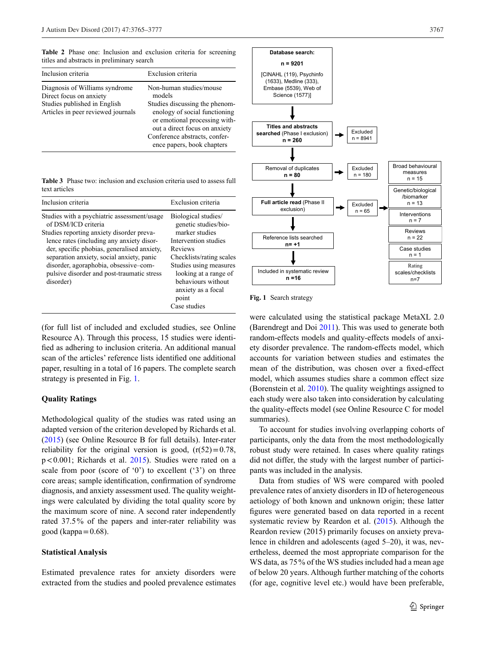<span id="page-2-0"></span>**Table 2** Phase one: Inclusion and exclusion criteria for screening titles and abstracts in preliminary search

| Inclusion criteria                                                                                                              | Exclusion criteria                                                                                                                                                                                                                    |
|---------------------------------------------------------------------------------------------------------------------------------|---------------------------------------------------------------------------------------------------------------------------------------------------------------------------------------------------------------------------------------|
| Diagnosis of Williams syndrome<br>Direct focus on anxiety<br>Studies published in English<br>Articles in peer reviewed journals | Non-human studies/mouse<br>models<br>Studies discussing the phenom-<br>enology of social functioning<br>or emotional processing with-<br>out a direct focus on anxiety<br>Conference abstracts, confer-<br>ence papers, book chapters |
|                                                                                                                                 |                                                                                                                                                                                                                                       |

<span id="page-2-1"></span>**Table 3** Phase two: inclusion and exclusion criteria used to assess full text articles

| Inclusion criteria                                                                                                                                                                                                                                                                                                                                           | Exclusion criteria                                                                                                                                                                                                                                   |
|--------------------------------------------------------------------------------------------------------------------------------------------------------------------------------------------------------------------------------------------------------------------------------------------------------------------------------------------------------------|------------------------------------------------------------------------------------------------------------------------------------------------------------------------------------------------------------------------------------------------------|
| Studies with a psychiatric assessment/usage<br>of DSM/ICD criteria<br>Studies reporting anxiety disorder preva-<br>lence rates (including any anxiety disor-<br>der, specific phobias, generalised anxiety,<br>separation anxiety, social anxiety, panic<br>disorder, agoraphobia, obsessive-com-<br>pulsive disorder and post-traumatic stress<br>disorder) | Biological studies/<br>genetic studies/bio-<br>marker studies<br>Intervention studies<br>Reviews<br>Checklists/rating scales<br>Studies using measures<br>looking at a range of<br>behaviours without<br>anxiety as a focal<br>point<br>Case studies |

(for full list of included and excluded studies, see Online Resource A). Through this process, 15 studies were identifed as adhering to inclusion criteria. An additional manual scan of the articles' reference lists identifed one additional paper, resulting in a total of 16 papers. The complete search strategy is presented in Fig. [1.](#page-2-2)

## **Quality Ratings**

Methodological quality of the studies was rated using an adapted version of the criterion developed by Richards et al. [\(2015](#page-11-12)) (see Online Resource B for full details). Inter-rater reliability for the original version is good,  $(r(52)=0.78)$ , p<0.001; Richards et al. [2015\)](#page-11-12). Studies were rated on a scale from poor (score of '0') to excellent ('3') on three core areas; sample identifcation, confrmation of syndrome diagnosis, and anxiety assessment used. The quality weightings were calculated by dividing the total quality score by the maximum score of nine. A second rater independently rated 37.5% of the papers and inter-rater reliability was good (kappa $=0.68$ ).

#### **Statistical Analysis**

Estimated prevalence rates for anxiety disorders were extracted from the studies and pooled prevalence estimates

<span id="page-2-2"></span>

**Fig. 1** Search strategy

were calculated using the statistical package MetaXL 2.0 (Barendregt and Doi [2011](#page-9-3)). This was used to generate both random-effects models and quality-effects models of anxiety disorder prevalence. The random-effects model, which accounts for variation between studies and estimates the mean of the distribution, was chosen over a fxed-effect model, which assumes studies share a common effect size (Borenstein et al. [2010](#page-10-15)). The quality weightings assigned to each study were also taken into consideration by calculating the quality-effects model (see Online Resource C for model summaries).

To account for studies involving overlapping cohorts of participants, only the data from the most methodologically robust study were retained. In cases where quality ratings did not differ, the study with the largest number of participants was included in the analysis.

Data from studies of WS were compared with pooled prevalence rates of anxiety disorders in ID of heterogeneous aetiology of both known and unknown origin; these latter fgures were generated based on data reported in a recent systematic review by Reardon et al. ([2015\)](#page-11-11). Although the Reardon review (2015) primarily focuses on anxiety prevalence in children and adolescents (aged 5–20), it was, nevertheless, deemed the most appropriate comparison for the WS data, as  $75\%$  of the WS studies included had a mean age of below 20 years. Although further matching of the cohorts (for age, cognitive level etc.) would have been preferable,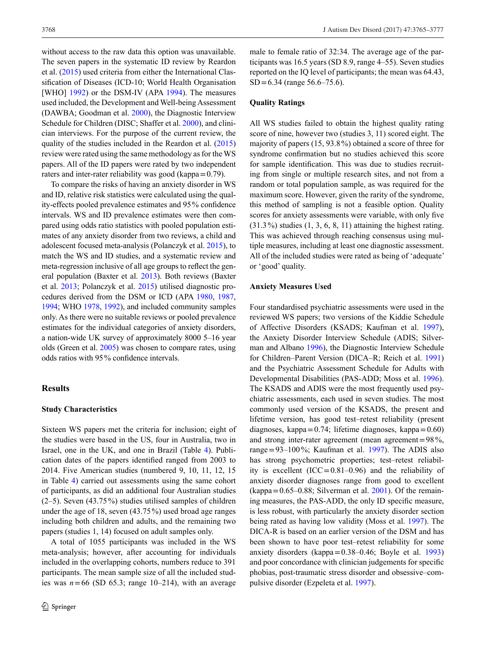without access to the raw data this option was unavailable. The seven papers in the systematic ID review by Reardon et al. [\(2015](#page-11-11)) used criteria from either the International Classifcation of Diseases (ICD-10; World Health Organisation [WHO] [1992](#page-12-1)) or the DSM-IV (APA [1994\)](#page-9-4). The measures used included, the Development and Well-being Assessment (DAWBA; Goodman et al. [2000](#page-10-19)), the Diagnostic Interview Schedule for Children (DISC; Shaffer et al. [2000\)](#page-11-18), and clinician interviews. For the purpose of the current review, the quality of the studies included in the Reardon et al. ([2015\)](#page-11-11) review were rated using the same methodology as for the WS papers. All of the ID papers were rated by two independent raters and inter-rater reliability was good (kappa $=0.79$ ).

To compare the risks of having an anxiety disorder in WS and ID, relative risk statistics were calculated using the quality-effects pooled prevalence estimates and 95% confdence intervals. WS and ID prevalence estimates were then compared using odds ratio statistics with pooled population estimates of any anxiety disorder from two reviews, a child and adolescent focused meta-analysis (Polanczyk et al. [2015](#page-11-19)), to match the WS and ID studies, and a systematic review and meta-regression inclusive of all age groups to refect the general population (Baxter et al. [2013\)](#page-9-2). Both reviews (Baxter et al. [2013;](#page-9-2) Polanczyk et al. [2015](#page-11-19)) utilised diagnostic procedures derived from the DSM or ICD (APA [1980,](#page-9-5) [1987,](#page-9-6) [1994;](#page-9-4) WHO [1978](#page-12-2), [1992](#page-12-1)), and included community samples only. As there were no suitable reviews or pooled prevalence estimates for the individual categories of anxiety disorders, a nation-wide UK survey of approximately 8000 5–16 year olds (Green et al. [2005](#page-10-20)) was chosen to compare rates, using odds ratios with 95% confdence intervals.

## **Results**

## **Study Characteristics**

Sixteen WS papers met the criteria for inclusion; eight of the studies were based in the US, four in Australia, two in Israel, one in the UK, and one in Brazil (Table [4](#page-4-0)). Publication dates of the papers identifed ranged from 2003 to 2014. Five American studies (numbered 9, 10, 11, 12, 15 in Table [4\)](#page-4-0) carried out assessments using the same cohort of participants, as did an additional four Australian studies (2–5). Seven (43.75%) studies utilised samples of children under the age of 18, seven (43.75%) used broad age ranges including both children and adults, and the remaining two papers (studies 1, 14) focused on adult samples only.

A total of 1055 participants was included in the WS meta-analysis; however, after accounting for individuals included in the overlapping cohorts, numbers reduce to 391 participants. The mean sample size of all the included studies was  $n=66$  (SD 65.3; range 10–214), with an average male to female ratio of 32:34. The average age of the participants was 16.5 years (SD 8.9, range 4–55). Seven studies reported on the IQ level of participants; the mean was 64.43, SD=6.34 (range 56.6–75.6).

## **Quality Ratings**

All WS studies failed to obtain the highest quality rating score of nine, however two (studies 3, 11) scored eight. The majority of papers (15, 93.8%) obtained a score of three for syndrome confrmation but no studies achieved this score for sample identifcation. This was due to studies recruiting from single or multiple research sites, and not from a random or total population sample, as was required for the maximum score. However, given the rarity of the syndrome, this method of sampling is not a feasible option. Quality scores for anxiety assessments were variable, with only fve  $(31.3\%)$  studies  $(1, 3, 6, 8, 11)$  attaining the highest rating. This was achieved through reaching consensus using multiple measures, including at least one diagnostic assessment. All of the included studies were rated as being of 'adequate' or 'good' quality.

#### **Anxiety Measures Used**

Four standardised psychiatric assessments were used in the reviewed WS papers; two versions of the Kiddie Schedule of Affective Disorders (KSADS; Kaufman et al. [1997](#page-10-16)), the Anxiety Disorder Interview Schedule (ADIS; Silverman and Albano [1996\)](#page-11-13), the Diagnostic Interview Schedule for Children–Parent Version (DICA–R; Reich et al. [1991\)](#page-11-14) and the Psychiatric Assessment Schedule for Adults with Developmental Disabilities (PAS-ADD; Moss et al. [1996](#page-11-15)). The KSADS and ADIS were the most frequently used psychiatric assessments, each used in seven studies. The most commonly used version of the KSADS, the present and lifetime version, has good test–retest reliability (present diagnoses, kappa=0.74; lifetime diagnoses, kappa=0.60) and strong inter-rater agreement (mean agreement=98%, range=93–100%; Kaufman et al. [1997](#page-10-16)). The ADIS also has strong psychometric properties; test–retest reliability is excellent  $(ICC=0.81-0.96)$  and the reliability of anxiety disorder diagnoses range from good to excellent (kappa= $0.65-0.88$ ; Silverman et al.  $2001$ ). Of the remaining measures, the PAS-ADD, the only ID specifc measure, is less robust, with particularly the anxiety disorder section being rated as having low validity (Moss et al. [1997\)](#page-11-17). The DICA-R is based on an earlier version of the DSM and has been shown to have poor test–retest reliability for some anxiety disorders (kappa=0.38–0.46; Boyle et al. [1993\)](#page-10-17) and poor concordance with clinician judgements for specifc phobias, post-traumatic stress disorder and obsessive–compulsive disorder (Ezpeleta et al. [1997\)](#page-10-18).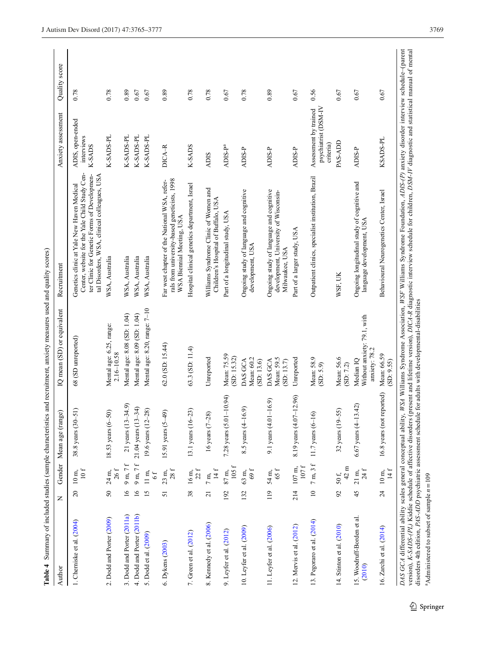| Author                                                                                                                                                                                                                                                                                                                                                                                                                                                  | $\mathsf{z}$                              |                                | Gender Mean age (range)      | IQ mean (SD) or equivalent                                           | Recruitment                                                                                                                                                                               | Anxiety assessment                                         | Quality score |
|---------------------------------------------------------------------------------------------------------------------------------------------------------------------------------------------------------------------------------------------------------------------------------------------------------------------------------------------------------------------------------------------------------------------------------------------------------|-------------------------------------------|--------------------------------|------------------------------|----------------------------------------------------------------------|-------------------------------------------------------------------------------------------------------------------------------------------------------------------------------------------|------------------------------------------------------------|---------------|
| 1. Chemiske et al. (2004)                                                                                                                                                                                                                                                                                                                                                                                                                               | 20                                        | $10 \text{ m},$ $10 \text{ f}$ | 38.8 years $(30-5)$          | 68 (SD unreported)                                                   | Center, website for the Yale Child Study Cen-<br>ter Clinic for Genetic Forms of Developmen-<br>tal Disorders, WSA, clinical colleagues, USA<br>Genetics clinic at Yale New Haven Medical | ADIS, open-ended<br>interviews<br>K-SADS                   | 0.78          |
| 2. Dodd and Porter (2009)                                                                                                                                                                                                                                                                                                                                                                                                                               | $50\,$                                    | 26 f<br>24 m,                  | 18.53 years $(6 - 50)$       | Mental age: 6.25, range:<br>$2.16 - 10.58$                           | WSA, Australia                                                                                                                                                                            | K-SADS-PL                                                  | 0.78          |
| 3. Dodd and Porter (2011a)                                                                                                                                                                                                                                                                                                                                                                                                                              | $\frac{6}{1}$                             | $9$ m, $7$ f                   | 21 years (13-34.9)           | Mental age: 8.08 (SD: 1.04)                                          | WSA, Australia                                                                                                                                                                            | K-SADS-PL                                                  | 0.89          |
| 4. Dodd and Porter (2011b)                                                                                                                                                                                                                                                                                                                                                                                                                              | $\frac{6}{2}$                             | 9m, 7f                         | 21.04 years (13-34)          | Mental age: 8.09 (SD: 1.04)                                          | WSA, Australia                                                                                                                                                                            | K-SADS-PL                                                  | 0.67          |
| 5. Dodd et al. (2009)                                                                                                                                                                                                                                                                                                                                                                                                                                   | 15                                        | $11 \text{ m}$<br>6f           | 19.6 years (12-28)           | Mental age: 8.20, range: 7-10                                        | WSA, Australia                                                                                                                                                                            | K-SADS-PL                                                  | 0.67          |
| 6. Dykens (2003)                                                                                                                                                                                                                                                                                                                                                                                                                                        | 51                                        | 28 f<br>$23 \text{ m}$         | 15.91 years $(5-49)$         | 62.0(SD:15.44)                                                       | rals from university-based geneticists, 1998<br>Far west chapter of the National WSA, refer-<br>WSA Biennial Meeting, USA                                                                 | DICA-R                                                     | 0.89          |
| 7. Green et al. $(2012)$                                                                                                                                                                                                                                                                                                                                                                                                                                | 38                                        | 22 f<br>$16 \text{ m},$        | 13.1 years (16-23)           | 63.3(SD:11.4)                                                        | Hospital clinical genetics department, Israel                                                                                                                                             | K-SADS                                                     | 0.78          |
| 8. Kennedy et al. (2006)                                                                                                                                                                                                                                                                                                                                                                                                                                | $\overline{21}$                           | 14f<br>7m                      | 16 years $(7-28)$            | Unreported                                                           | Williams Syndrome Clinic of Women and<br>Children's Hospital of Buffalo, USA                                                                                                              | <b>ADIS</b>                                                | 0.78          |
| 9. Leyfer et al. (2012)                                                                                                                                                                                                                                                                                                                                                                                                                                 | 192                                       | 105 f<br>$87\,\mathrm{m}$      | 7.28 years (5.01-10.94)      | Mean: 75.59<br>(SD: 15.32)                                           | Part of a longitudinal study, USA                                                                                                                                                         | ADIS-P <sup>a</sup>                                        | 0.67          |
| 10. Leyfer et al. (2009)                                                                                                                                                                                                                                                                                                                                                                                                                                | 132                                       | 69 f<br>63 m,                  | କ୍<br>8.5 years $(4-16.$     | Mean: 60.2<br>DAS GCA<br>(SD: 13.6)                                  | Ongoing study of language and cognitive<br>development, USA                                                                                                                               | ADIS-P                                                     | 0.78          |
| 11. Leyfer et al. (2006)                                                                                                                                                                                                                                                                                                                                                                                                                                | 119                                       | 65 f<br>54 m,                  | 9.1 years (4.01-16.9)        | Mean: 59.5<br>DAS GCA<br>(SD: 13.7)                                  | Ongoing study of language and cognitive<br>development, University of Wisconsin-<br>Milwaukee, USA                                                                                        | ADIS-P                                                     | 0.89          |
| 12. Mervis et al. (2012)                                                                                                                                                                                                                                                                                                                                                                                                                                | 214                                       | $107 f$<br>$107\,\mathrm{m,}$  | 8.19 years (4.07-12.96)      | Unreported                                                           | Part of a larger study, USA                                                                                                                                                               | ADIS-P                                                     | 0.67          |
| 13. Pegoraro et al. (2014)                                                                                                                                                                                                                                                                                                                                                                                                                              | $\overline{10}$                           | 7m, 3f                         | 11.7 years $(6-16)$          | Mean: 58.9<br>(SD:5.9)                                               | Outpatient clinics, specialist institution, Brazil                                                                                                                                        | psychiatrist (DSM-IV<br>Assessment by trained<br>criteria) | 0.56          |
| 14. Stinton et al. (2010)                                                                                                                                                                                                                                                                                                                                                                                                                               | $\mathcal{S}$                             | $42 \text{ m}$<br>50 f,        | 32 years $(19 - 55)$         | Mean: 56.6<br>(SD: 7.2)                                              | WSF, UK                                                                                                                                                                                   | PAS-ADD                                                    | 0.67          |
| 15. Woodruff-Borden et al.<br>(2010)                                                                                                                                                                                                                                                                                                                                                                                                                    | 45                                        | 24 f<br>$21 \text{ m}$         | 42)<br>6.67 years $(4-13)$ . | Without anxiety: 79.1, with<br>anxiety: 78.2<br>Median <sub>10</sub> | Ongoing longitudinal study of cognitive and<br>language development, USA                                                                                                                  | ADIS-P                                                     | 0.67          |
| 16. Zarchi et al. (2014)                                                                                                                                                                                                                                                                                                                                                                                                                                |                                           | $14 f$<br>24 10 m,             | 16.8 years (not reported)    | Mean: 66.59<br>(SD: 9.55)                                            | Behavioural Neurogenetics Center, Israel                                                                                                                                                  | KSADS-PL                                                   | 0.67          |
| DAS GCA differential ability scales general conceptual ability,<br>$\overline{U}$ $\overline{C}$ $\overline{I}$ $\overline{D}$ $\overline{C}$ $\overline{C}$ $\overline{D}$ $\overline{I}$ $\overline{I}$ $\overline{I}$ $\overline{I}$ $\overline{I}$ $\overline{I}$ $\overline{I}$ $\overline{I}$ $\overline{I}$ $\overline{I}$ $\overline{I}$ $\overline{I}$ $\overline{I}$ $\overline{I}$ $\overline{I}$ $\overline{I}$ $\overline{I}$ $\overline{$ | $\sim$ $\sim$ $\sim$ $\sim$ $\sim$ $\sim$ |                                |                              |                                                                      | W314 Williams Syndrome Association, WSF Williams Syndrome Foundation, ADIS-(P) anxiety disorder interview schedule-(parent                                                                |                                                            |               |

<span id="page-4-0"></span> $\underline{\textcircled{\tiny 2}}$  Springer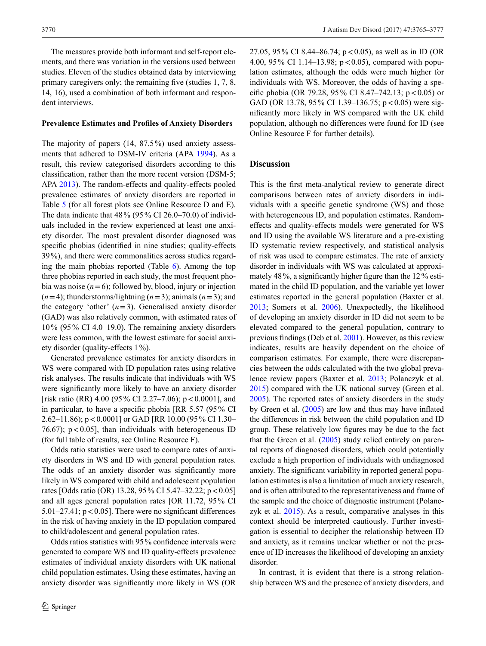The measures provide both informant and self-report elements, and there was variation in the versions used between studies. Eleven of the studies obtained data by interviewing primary caregivers only; the remaining fve (studies 1, 7, 8, 14, 16), used a combination of both informant and respondent interviews.

#### **Prevalence Estimates and Profles of Anxiety Disorders**

The majority of papers (14, 87.5%) used anxiety assessments that adhered to DSM-IV criteria (APA [1994\)](#page-9-4). As a result, this review categorised disorders according to this classifcation, rather than the more recent version (DSM-5; APA [2013\)](#page-9-1). The random-effects and quality-effects pooled prevalence estimates of anxiety disorders are reported in Table [5](#page-6-0) (for all forest plots see Online Resource D and E). The data indicate that  $48\%$  (95% CI 26.0–70.0) of individuals included in the review experienced at least one anxiety disorder. The most prevalent disorder diagnosed was specifc phobias (identifed in nine studies; quality-effects 39%), and there were commonalities across studies regarding the main phobias reported (Table  $6$ ). Among the top three phobias reported in each study, the most frequent phobia was noise  $(n=6)$ ; followed by, blood, injury or injection  $(n=4)$ ; thunderstorms/lightning  $(n=3)$ ; animals  $(n=3)$ ; and the category 'other' (*n*=3). Generalised anxiety disorder (GAD) was also relatively common, with estimated rates of 10% (95% CI 4.0–19.0). The remaining anxiety disorders were less common, with the lowest estimate for social anxiety disorder (quality-effects 1%).

Generated prevalence estimates for anxiety disorders in WS were compared with ID population rates using relative risk analyses. The results indicate that individuals with WS were signifcantly more likely to have an anxiety disorder [risk ratio (RR) 4.00 (95% CI 2.27–7.06);  $p < 0.0001$ ], and in particular, to have a specifc phobia [RR 5.57 (95% CI 2.62–11.86); p<0.0001] or GAD [RR 10.00 (95% CI 1.30– 76.67);  $p < 0.05$ ], than individuals with heterogeneous ID (for full table of results, see Online Resource F).

Odds ratio statistics were used to compare rates of anxiety disorders in WS and ID with general population rates. The odds of an anxiety disorder was signifcantly more likely in WS compared with child and adolescent population rates [Odds ratio (OR) 13.28, 95% CI 5.47–32.22; p < 0.05] and all ages general population rates [OR 11.72, 95% CI 5.01–27.41;  $p < 0.05$ ]. There were no significant differences in the risk of having anxiety in the ID population compared to child/adolescent and general population rates.

Odds ratios statistics with 95% confdence intervals were generated to compare WS and ID quality-effects prevalence estimates of individual anxiety disorders with UK national child population estimates. Using these estimates, having an anxiety disorder was signifcantly more likely in WS (OR 27.05, 95% CI 8.44–86.74; p<0.05), as well as in ID (OR 4.00, 95% CI 1.14–13.98;  $p < 0.05$ ), compared with population estimates, although the odds were much higher for individuals with WS. Moreover, the odds of having a specific phobia (OR 79.28, 95% CI 8.47–742.13;  $p < 0.05$ ) or GAD (OR 13.78, 95% CI 1.39–136.75;  $p < 0.05$ ) were signifcantly more likely in WS compared with the UK child population, although no differences were found for ID (see Online Resource F for further details).

# **Discussion**

This is the frst meta-analytical review to generate direct comparisons between rates of anxiety disorders in individuals with a specifc genetic syndrome (WS) and those with heterogeneous ID, and population estimates. Randomeffects and quality-effects models were generated for WS and ID using the available WS literature and a pre-existing ID systematic review respectively, and statistical analysis of risk was used to compare estimates. The rate of anxiety disorder in individuals with WS was calculated at approximately 48%, a signifcantly higher fgure than the 12% estimated in the child ID population, and the variable yet lower estimates reported in the general population (Baxter et al. [2013](#page-9-2); Somers et al. [2006](#page-11-9)). Unexpectedly, the likelihood of developing an anxiety disorder in ID did not seem to be elevated compared to the general population, contrary to previous fndings (Deb et al. [2001\)](#page-10-26). However, as this review indicates, results are heavily dependent on the choice of comparison estimates. For example, there were discrepancies between the odds calculated with the two global prevalence review papers (Baxter et al. [2013](#page-9-2); Polanczyk et al. [2015](#page-11-19)) compared with the UK national survey (Green et al. [2005](#page-10-20)). The reported rates of anxiety disorders in the study by Green et al. ([2005](#page-10-20)) are low and thus may have infated the differences in risk between the child population and ID group. These relatively low fgures may be due to the fact that the Green et al. [\(2005](#page-10-20)) study relied entirely on parental reports of diagnosed disorders, which could potentially exclude a high proportion of individuals with undiagnosed anxiety. The signifcant variability in reported general population estimates is also a limitation of much anxiety research, and is often attributed to the representativeness and frame of the sample and the choice of diagnostic instrument (Polanczyk et al. [2015](#page-11-19)). As a result, comparative analyses in this context should be interpreted cautiously. Further investigation is essential to decipher the relationship between ID and anxiety, as it remains unclear whether or not the presence of ID increases the likelihood of developing an anxiety disorder.

In contrast, it is evident that there is a strong relationship between WS and the presence of anxiety disorders, and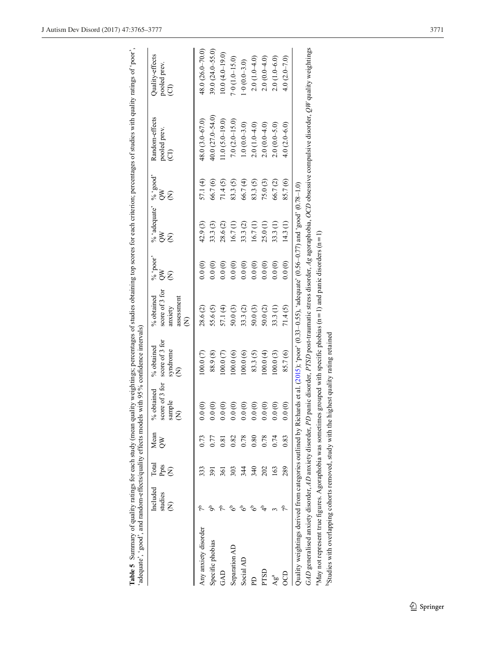|                                                                                                                                                                                         | Included<br>studies<br>Ê | Total<br>Ppts<br>$\epsilon$ | Mean<br>Š         | score of 3 for<br>% obtained<br>sample<br>Ê | score of 3 for<br>% obtained<br>syndrome<br>$\widehat{\mathsf{g}}$        | score of 3 for<br>% obtained<br>assessment<br>anxiety<br>Ē | $%$ poor<br>$\gtrless$<br>$\widehat{\epsilon}$ | (N)<br>$\frac{W}{W}$<br>(N)<br>$\frac{W}{W}$<br>(N)<br>(N) |         | Random-effects<br>pooled prev.<br>to<br>O | Quality-effects<br>pooled prev.<br>$\widehat{\sigma}$ |
|-----------------------------------------------------------------------------------------------------------------------------------------------------------------------------------------|--------------------------|-----------------------------|-------------------|---------------------------------------------|---------------------------------------------------------------------------|------------------------------------------------------------|------------------------------------------------|------------------------------------------------------------|---------|-------------------------------------------|-------------------------------------------------------|
| Any anxiety disorder                                                                                                                                                                    |                          | 333                         | 0.73              | $\widehat{\in}$<br>$\overline{0.0}$         | 100.0(7)                                                                  | 28.6(2)                                                    | 0.0(0)                                         | 42.9(3)                                                    | 57.1(4) | $48.0(3.0 - 67.0)$                        | 48.0 (26.0-70.0)                                      |
| Specific phobias                                                                                                                                                                        |                          | 391                         |                   | 0.0                                         | 88.9 (8)                                                                  | 55.6(5)                                                    | 0.0(0)                                         | 33.3(3)                                                    | 66.7(6) | 40.0 (27.0-54.0)                          | $39.0(24.0 - 55.0)$                                   |
| GAD                                                                                                                                                                                     |                          | 361                         | $\overline{0.81}$ | $\widehat{\in}$<br>0.0                      | 100.0(7)                                                                  | 57.1(4)                                                    | 0.0(0)                                         | 28.6 (2)                                                   | 71.4(5) | $(1.0 (5.0 - 19.0))$                      | $10.0 (4.0 - 19.0)$                                   |
| Separation AD                                                                                                                                                                           |                          | 303                         | 0.82              | $\widehat{\in}$<br>0.0                      | 100.0(6)                                                                  | 50.0(3)                                                    | 0.0(0)                                         | 16.7(1)                                                    | 83.3(5) | $7.0(2.0 - 15.0)$                         | $7.0(1.0 - 15.0)$                                     |
| Social AD                                                                                                                                                                               |                          | 344                         | 0.78              | $\widehat{\in}$<br>$\overline{0}$ .         | 100.0(6)                                                                  | 33.3 (2)                                                   | 0.0(0)                                         | 33.3 (2)                                                   | 66.7(4) | $1.0(0.0 - 3.0)$                          | $(0.0 - 3.0)$                                         |
| E                                                                                                                                                                                       |                          | 340                         | $\frac{80}{2}$    | $\widehat{\circ}$<br>0.0                    | 83.3(5)                                                                   | 50.0(3)                                                    | 0.0(0)                                         | 16.7(1)                                                    | 83.3(5) | $2.0(1.0 - 4.0)$                          | $2.0(1.0-4.0)$                                        |
| PTSD                                                                                                                                                                                    |                          | 202                         | 0.78              | $\widehat{\circ}$<br>0.0                    | 100.0(4)                                                                  | 50.0(2)                                                    | 0.0(0)                                         | 25.0(1)                                                    | 75.0(3) | $2.0(0.0 - 4.0)$                          | $2.0(0.0-4.0)$                                        |
| $Ag^a$                                                                                                                                                                                  |                          | 163                         | 0.74              | $\widehat{\circ}$<br>$\overline{0}$ .       | (00.06)                                                                   | 33.3(1)                                                    | 0.0(0)                                         | 33.3(1)                                                    | 66.7(2) | $2.0(0.0 - 5.0)$                          | $2.0(1.0-6.0)$                                        |
|                                                                                                                                                                                         |                          | 289                         | 0.83              | $\odot$<br>$\overline{0.0}$                 | 85.7(6)                                                                   | 71.4(5)                                                    | 0.0(0)                                         | 14.3(1)                                                    | 85.7(6) | $4.0(2.0 - 6.0)$                          | $4.0(2.0 - 7.0)$                                      |
| Quality weightings derived from categories outlined by Richards et al. (2015); 'poor' (0.33-0.55), 'adequate' (0.56-0.77) and 'good' (0.78-1.0)                                         |                          |                             |                   |                                             |                                                                           |                                                            |                                                |                                                            |         |                                           |                                                       |
| GAD generalised anxiety disorder, AD anxiety disorder, PD panic disorder, PTSD post-traumatic stress disorder, Ag agoraphobia, OCD obsessive compulsive disorder, QW quality weightings |                          |                             |                   |                                             |                                                                           |                                                            |                                                |                                                            |         |                                           |                                                       |
| aMay not represent true figures. Agoraphobia was sometimes                                                                                                                              |                          |                             |                   |                                             | grouped with specific phobias ( $n = 1$ ) and panic disorders ( $n = 1$ ) |                                                            |                                                |                                                            |         |                                           |                                                       |
| "Studies with overlapping cohorts removed, study with the highest quality rating retained                                                                                               |                          |                             |                   |                                             |                                                                           |                                                            |                                                |                                                            |         |                                           |                                                       |

**Table 5** Summary of quality ratings for each study (mean quality weightings; percentages of studies obtaining top scores for each criterion; percentages of studies with quality ratings of 'poor',

Table 5 Summary of quality ratings for each study (mean quality weightings; percentages of studies obtaining top scores for each criterion; percentages of studies with quality ratings of 'poor', 'adequate', 'good', and ran

<span id="page-6-0"></span>'adequate', 'good', and random-effects/quality effects models with 95% confdence intervals)

 $\underline{\textcircled{\tiny 2}}$  Springer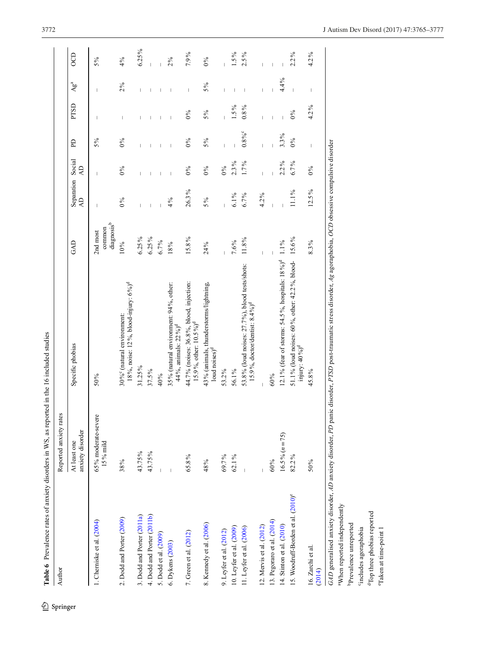<span id="page-7-0"></span>

| h included as reported in 1818.<br>$\frac{1}{2}$ |
|--------------------------------------------------|
|                                                  |
|                                                  |
|                                                  |
|                                                  |
|                                                  |
|                                                  |
|                                                  |
| :                                                |
|                                                  |
|                                                  |
| $-200 - 200$                                     |
|                                                  |
|                                                  |
|                                                  |
|                                                  |
|                                                  |
|                                                  |
| $\sim$ $\sim$ $\sim$ $\sim$ $\sim$ $\sim$        |
| no rotog of anvioture.                           |
|                                                  |
|                                                  |
| $\frac{1}{2}$                                    |
|                                                  |
|                                                  |
| anono di Promoc                                  |
|                                                  |
|                                                  |
|                                                  |
|                                                  |

| <b>Table 6</b> Prevalence rates of anxiety disorders in WS, as reported in the 16 included studies<br>Author | Reported anxiety rates             |                                                                                                  |                                              |                         |                          |                                       |                |                          |               |
|--------------------------------------------------------------------------------------------------------------|------------------------------------|--------------------------------------------------------------------------------------------------|----------------------------------------------|-------------------------|--------------------------|---------------------------------------|----------------|--------------------------|---------------|
|                                                                                                              | anxiety disorder<br>At least one   | Specific phobias                                                                                 | GAD                                          | Separation<br><b>AD</b> | Social<br>$\overline{A}$ | E                                     | PTSD           | $Ag^a$                   | $rac{1}{2}$   |
| 1. Chemiske et al. (2004)                                                                                    | 65% moderate-severe<br>$15\%$ mild | 50%                                                                                              | diagnosis <sup>b</sup><br>common<br>2nd most |                         |                          | 5%                                    |                |                          | 5%            |
| 2. Dodd and Porter (2009)                                                                                    | 38%                                | 18%, noise: $12\%$ , blood-injury: $6\%$ <sup>d</sup><br>30% (natural environment:               | 10%                                          | $\delta_0$              | $\delta_0$               | $\delta_{0}$                          | 1              | $2\%$                    | $4\%$         |
| 3. Dodd and Porter (2011a)                                                                                   | 43.75%                             | 31.25%                                                                                           | 6.25%                                        |                         | I                        |                                       |                |                          | 6.25%         |
| 4. Dodd and Porter (2011b)                                                                                   | 43.75%                             | 37.5%                                                                                            | 6.25%                                        |                         | $\overline{1}$           |                                       | 1              |                          |               |
| 5. Dodd et al. (2009)                                                                                        |                                    | 40%                                                                                              | 6.7%                                         |                         |                          |                                       |                |                          |               |
| 6. Dykens (2003)                                                                                             | $\overline{1}$                     | 35% (natural environment: 94%, other:<br>44%, animals: 22%) <sup>d</sup>                         | 18%                                          | $4\%$                   | $\overline{\phantom{a}}$ |                                       |                |                          | 2%            |
| 7. Green et al. (2012)                                                                                       | 65.8%                              | 44.7% (noises: 36.8%, blood, injection:<br>15.9%, other: $10.5\%$ <sup>d</sup>                   | 15.8%                                        | 26.3%                   | $\delta_0$               | $0\%$                                 | $0\%$          | $\mathsf{I}$             | 7.9%          |
| 8. Kennedy et al. (2006)                                                                                     | 48%                                | 43% (animals, thunderstorms/lightning,<br>loud noises) <sup>d</sup>                              | 24%                                          | 5%                      | $0\%$                    | 5%                                    | 5%             | 5%                       | $\frac{6}{6}$ |
| 9. Leyfer et al. (2012)                                                                                      | 69.7%                              | 53.2%                                                                                            |                                              | $\overline{1}$          | $0\%$                    | $\begin{array}{c} \hline \end{array}$ | $\overline{1}$ | $\overline{\phantom{a}}$ |               |
| 10. Leyfer et al. (2009)                                                                                     | $62.1\%$                           | 56.1%                                                                                            | 7.6%                                         | $6.1\%$                 | $2.3\%$                  |                                       | 1.5%           |                          | 1.5%          |
| 11. Leyfer et al. (2006)                                                                                     |                                    | 53.8% (loud noises: 27.7%), blood tests/shots:<br>15.9%, doctor/dentist: $8.4\%$ ) <sup>d</sup>  | 11.8%                                        | 6.7%                    | 1.7%                     | $0.8\%$                               | 0.8%           | $\mathbf{I}$             | 2.5%          |
| 12. Mervis et al. (2012)                                                                                     |                                    |                                                                                                  |                                              | $4.2\%$                 |                          | $\mathbf{I}$                          |                | $\mathbf{I}$             |               |
| 13. Pegoraro et al. (2014)                                                                                   | 60%                                | 60%                                                                                              |                                              |                         |                          |                                       |                |                          |               |
| 14. Stinton et al. (2010)                                                                                    | $16.5\% (n = 75)$                  | 12.1% (fear of storms: 54.5%, hospitals: 18%) <sup>d</sup>                                       | $1.1\%$                                      |                         | $2.2\%$                  | 3.3%                                  |                | 4.4%                     |               |
| 15. Woodruff-Borden et al. (2010) <sup>e</sup>                                                               | 82.2%                              | 51.1% (loud noises: 60%, other: 42.2%, blood-<br>injury: $40\%$ <sup>d</sup>                     | 15.6%                                        | 11.1%                   | 6.7%                     | $\delta_0$                            | $\delta_0$     |                          | $2.2\%$       |
| 16. Zarchi et al.<br>(2014)                                                                                  | $200\%$                            | 45.8%                                                                                            | 8.3%                                         | 12.5%                   | $\delta_0$               | I                                     | $4.2\%$        | I                        | $4.2\%$       |
| GAD generalised anxiety disorder, AD anxiety disorder, PD panic                                              |                                    | disorder, PTSD post-traumatic stress disorder, Ag agoraphobia, OCD obsessive compulsive disorder |                                              |                         |                          |                                       |                |                          |               |
| "When reported independently                                                                                 |                                    |                                                                                                  |                                              |                         |                          |                                       |                |                          |               |
| Prevalence unreported                                                                                        |                                    |                                                                                                  |                                              |                         |                          |                                       |                |                          |               |
| includes agoraphobia                                                                                         |                                    |                                                                                                  |                                              |                         |                          |                                       |                |                          |               |
| <sup>d</sup> Top three phobias reported                                                                      |                                    |                                                                                                  |                                              |                         |                          |                                       |                |                          |               |

aWhen reported independently bPrevalence unreported cincludes agoraphobia dTop three phobias reported eTaken at time-point 1

<sup>e</sup>Taken at time-point 1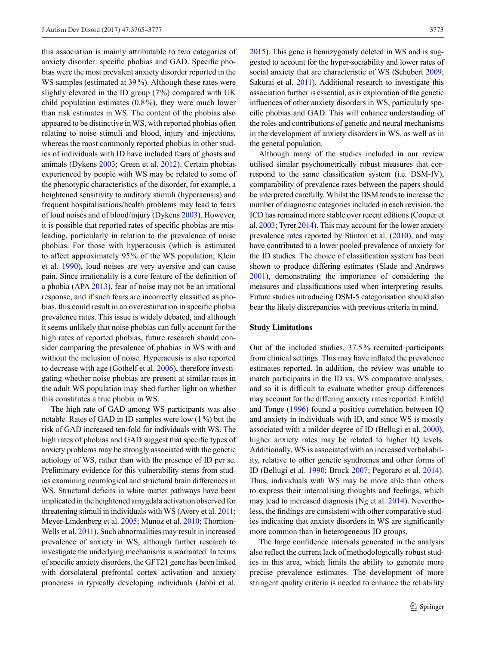this association is mainly attributable to two categories of anxiety disorder: specifc phobias and GAD. Specifc phobias were the most prevalent anxiety disorder reported in the WS samples (estimated at 39%). Although these rates were slightly elevated in the ID group (7%) compared with UK child population estimates (0.8%), they were much lower than risk estimates in WS. The content of the phobias also appeared to be distinctive in WS, with reported phobias often relating to noise stimuli and blood, injury and injections, whereas the most commonly reported phobias in other studies of individuals with ID have included fears of ghosts and animals (Dykens [2003;](#page-10-25) Green et al. [2012](#page-10-12)). Certain phobias experienced by people with WS may be related to some of the phenotypic characteristics of the disorder, for example, a heightened sensitivity to auditory stimuli (hyperacusis) and frequent hospitalisations/health problems may lead to fears of loud noises and of blood/injury (Dykens [2003\)](#page-10-25). However, it is possible that reported rates of specifc phobias are misleading, particularly in relation to the prevalence of noise phobias. For those with hyperacusis (which is estimated to affect approximately 95% of the WS population; Klein et al. [1990\)](#page-11-30), loud noises are very aversive and can cause pain. Since irrationality is a core feature of the defnition of a phobia (APA [2013](#page-9-1)), fear of noise may not be an irrational response, and if such fears are incorrectly classifed as phobias, this could result in an overestimation in specifc phobia prevalence rates. This issue is widely debated, and although it seems unlikely that noise phobias can fully account for the high rates of reported phobias, future research should consider comparing the prevalence of phobias in WS with and without the inclusion of noise. Hyperacusis is also reported to decrease with age (Gothelf et al. [2006](#page-10-31)), therefore investigating whether noise phobias are present at similar rates in the adult WS population may shed further light on whether this constitutes a true phobia in WS.

The high rate of GAD among WS participants was also notable. Rates of GAD in ID samples were low (1%) but the risk of GAD increased ten-fold for individuals with WS. The high rates of phobias and GAD suggest that specific types of anxiety problems may be strongly associated with the genetic aetiology of WS, rather than with the presence of ID per se. Preliminary evidence for this vulnerability stems from studies examining neurological and structural brain differences in WS. Structural deficits in white matter pathways have been implicated in the heightened amygdala activation observed for threatening stimuli in individuals with WS (Avery et al. [2011](#page-9-8); Meyer-Lindenberg et al. [2005](#page-11-31); Munoz et al. [2010](#page-11-32); Thornton-Wells et al. [2011](#page-11-33)). Such abnormalities may result in increased prevalence of anxiety in WS, although further research to investigate the underlying mechanisms is warranted. In terms of specifc anxiety disorders, the GFT21 gene has been linked with dorsolateral prefrontal cortex activation and anxiety proneness in typically developing individuals (Jabbi et al.

[2015\)](#page-10-27). This gene is hemizygously deleted in WS and is suggested to account for the hyper-sociability and lower rates of social anxiety that are characteristic of WS (Schubert [2009](#page-11-25); Sakurai et al. [2011\)](#page-11-26). Additional research to investigate this association further is essential, as is exploration of the genetic infuences of other anxiety disorders in WS, particularly specifc phobias and GAD. This will enhance understanding of the roles and contributions of genetic and neural mechanisms in the development of anxiety disorders in WS, as well as in the general population.

Although many of the studies included in our review utilised similar psychometrically robust measures that correspond to the same classifcation system (i.e. DSM-IV), comparability of prevalence rates between the papers should be interpreted carefully. Whilst the DSM tends to increase the number of diagnostic categories included in each revision, the ICD has remained more stable over recent editions (Cooper et al. [2003](#page-10-28); Tyrer [2014\)](#page-11-27). This may account for the lower anxiety prevalence rates reported by Stinton et al. [\(2010\)](#page-11-8), and may have contributed to a lower pooled prevalence of anxiety for the ID studies. The choice of classifcation system has been shown to produce differing estimates (Slade and Andrews [2001\)](#page-11-28), demonstrating the importance of considering the measures and classifcations used when interpreting results. Future studies introducing DSM-5 categorisation should also bear the likely discrepancies with previous criteria in mind.

#### **Study Limitations**

Out of the included studies, 37.5% recruited participants from clinical settings. This may have infated the prevalence estimates reported. In addition, the review was unable to match participants in the ID vs. WS comparative analyses, and so it is diffcult to evaluate whether group differences may account for the differing anxiety rates reported. Einfeld and Tonge [\(1996](#page-10-29)) found a positive correlation between IQ and anxiety in individuals with ID, and since WS is mostly associated with a milder degree of ID (Bellugi et al. [2000](#page-9-0)), higher anxiety rates may be related to higher IQ levels. Additionally, WS is associated with an increased verbal ability, relative to other genetic syndromes and other forms of ID (Bellugi et al. [1990](#page-9-7); Brock [2007](#page-10-30); Pegoraro et al. [2014](#page-11-10)). Thus, individuals with WS may be more able than others to express their internalising thoughts and feelings, which may lead to increased diagnosis (Ng et al. [2014\)](#page-11-29). Nevertheless, the fndings are consistent with other comparative studies indicating that anxiety disorders in WS are signifcantly more common than in heterogeneous ID groups.

The large confdence intervals generated in the analysis also refect the current lack of methodologically robust studies in this area, which limits the ability to generate more precise prevalence estimates. The development of more stringent quality criteria is needed to enhance the reliability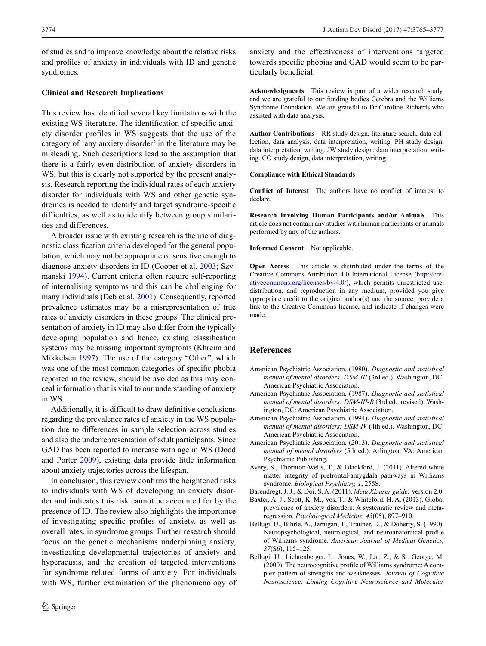of studies and to improve knowledge about the relative risks and profles of anxiety in individuals with ID and genetic syndromes.

# **Clinical and Research Implications**

This review has identifed several key limitations with the existing WS literature. The identifcation of specifc anxiety disorder profles in WS suggests that the use of the category of 'any anxiety disorder' in the literature may be misleading. Such descriptions lead to the assumption that there is a fairly even distribution of anxiety disorders in WS, but this is clearly not supported by the present analysis. Research reporting the individual rates of each anxiety disorder for individuals with WS and other genetic syndromes is needed to identify and target syndrome-specifc difficulties, as well as to identify between group similarities and differences.

A broader issue with existing research is the use of diagnostic classifcation criteria developed for the general population, which may not be appropriate or sensitive enough to diagnose anxiety disorders in ID (Cooper et al. [2003;](#page-10-28) Szymanski [1994](#page-11-34)). Current criteria often require self-reporting of internalising symptoms and this can be challenging for many individuals (Deb et al. [2001\)](#page-10-26). Consequently, reported prevalence estimates may be a misrepresentation of true rates of anxiety disorders in these groups. The clinical presentation of anxiety in ID may also differ from the typically developing population and hence, existing classifcation systems may be missing important symptoms (Khreim and Mikkelsen [1997\)](#page-11-35). The use of the category "Other", which was one of the most common categories of specifc phobia reported in the review, should be avoided as this may conceal information that is vital to our understanding of anxiety in WS.

Additionally, it is difficult to draw definitive conclusions regarding the prevalence rates of anxiety in the WS population due to differences in sample selection across studies and also the underrepresentation of adult participants. Since GAD has been reported to increase with age in WS (Dodd and Porter [2009](#page-10-11)), existing data provide little information about anxiety trajectories across the lifespan.

In conclusion, this review confrms the heightened risks to individuals with WS of developing an anxiety disorder and indicates this risk cannot be accounted for by the presence of ID. The review also highlights the importance of investigating specifc profles of anxiety, as well as overall rates, in syndrome groups. Further research should focus on the genetic mechanisms underpinning anxiety, investigating developmental trajectories of anxiety and hyperacusis, and the creation of targeted interventions for syndrome related forms of anxiety. For individuals with WS, further examination of the phenomenology of anxiety and the effectiveness of interventions targeted towards specifc phobias and GAD would seem to be particularly beneficial.

**Acknowledgments** This review is part of a wider research study, and we are grateful to our funding bodies Cerebra and the Williams Syndrome Foundation. We are grateful to Dr Caroline Richards who assisted with data analysis.

**Author Contributions** RR study design, literature search, data collection, data analysis, data interpretation, writing. PH study design, data interpretation, writing. JW study design, data interpretation, writing. CO study design, data interpretation, writing

## **Compliance with Ethical Standards**

**Confict of Interest** The authors have no confict of interest to declare.

**Research Involving Human Participants and/or Animals** This article does not contain any studies with human participants or animals performed by any of the authors.

**Informed Consent** Not applicable.

**Open Access** This article is distributed under the terms of the Creative Commons Attribution 4.0 International License ([http://cre](http://creativecommons.org/licenses/by/4.0/)[ativecommons.org/licenses/by/4.0/](http://creativecommons.org/licenses/by/4.0/)), which permits unrestricted use, distribution, and reproduction in any medium, provided you give appropriate credit to the original author(s) and the source, provide a link to the Creative Commons license, and indicate if changes were made.

#### **References**

- <span id="page-9-5"></span>American Psychiatric Association. (1980). *Diagnostic and statistical manual of mental disorders: DSM-III* (3rd ed.). Washington, DC: American Psychiatric Association.
- <span id="page-9-6"></span>American Psychiatric Association. (1987). *Diagnostic and statistical manual of mental disorders: DSM-III-R* (3rd ed., revised). Washington, DC: American Psychiatric Association.
- <span id="page-9-4"></span>American Psychiatric Association. (1994). *Diagnostic and statistical manual of mental disorders: DSM-IV* (4th ed.). Washington, DC: American Psychiatric Association.
- <span id="page-9-1"></span>American Psychiatric Association. (2013). *Diagnostic and statistical manual of mental disorders* (5th ed.). Arlington, VA: American Psychiatric Publishing.
- <span id="page-9-8"></span>Avery, S., Thornton-Wells, T., & Blackford, J. (2011). Altered white matter integrity of prefrontal-amygdala pathways in Williams syndrome. *Biological Psychiatry, 1*, 255S.
- <span id="page-9-3"></span>Barendregt, J. J., & Doi, S. A. (2011). *Meta XL user guide*: Version 2.0.
- <span id="page-9-2"></span>Baxter, A. J., Scott, K. M., Vos, T., & Whiteford, H. A. (2013). Global prevalence of anxiety disorders: A systematic review and metaregression. *Psychological Medicine, 43*(05), 897–910.
- <span id="page-9-7"></span>Bellugi, U., Bihrle, A., Jernigan, T., Trauner, D., & Doherty, S. (1990). Neuropsychological, neurological, and neuroanatomical profle of Williams syndrome. *American Journal of Medical Genetics, 37*(S6), 115–125.
- <span id="page-9-0"></span>Bellugi, U., Lichtenberger, L., Jones, W., Lai, Z., & St. George, M. (2000). The neurocognitive profle of Williams syndrome: A complex pattern of strengths and weaknesses. *Journal of Cognitive Neuroscience: Linking Cognitive Neuroscience and Molecular*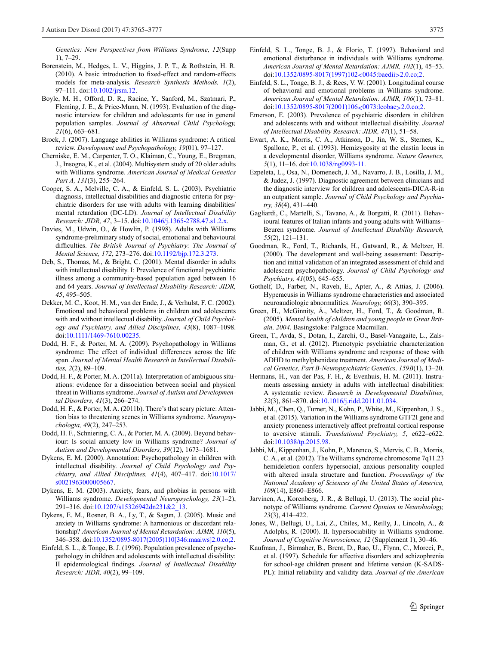*Genetics: New Perspectives from Williams Syndrome, 12*(Supp 1), 7–29.

- <span id="page-10-15"></span>Borenstein, M., Hedges, L. V., Higgins, J. P. T., & Rothstein, H. R. (2010). A basic introduction to fxed-effect and random-effects models for meta-analysis. *Research Synthesis Methods, 1*(2), 97–111. doi[:10.1002/jrsm.12](http://dx.doi.org/10.1002/jrsm.12).
- <span id="page-10-17"></span>Boyle, M. H., Offord, D. R., Racine, Y., Sanford, M., Szatmari, P., Fleming, J. E., & Price-Munn, N. (1993). Evaluation of the diagnostic interview for children and adolescents for use in general population samples. *Journal of Abnormal Child Psychology, 21*(6), 663–681.
- <span id="page-10-30"></span>Brock, J. (2007). Language abilities in Williams syndrome: A critical review. *Development and Psychopathology, 19*(01), 97–127.
- <span id="page-10-21"></span>Cherniske, E. M., Carpenter, T. O., Klaiman, C., Young, E., Bregman, J., Insogna, K., et al. (2004). Multisystem study of 20 older adults with Williams syndrome. *American Journal of Medical Genetics Part A, 131*(3), 255–264.
- <span id="page-10-28"></span>Cooper, S. A., Melville, C. A., & Einfeld, S. L. (2003). Psychiatric diagnosis, intellectual disabilities and diagnostic criteria for psychiatric disorders for use with adults with learning disabilities/ mental retardation (DC-LD). *Journal of Intellectual Disability Research: JIDR, 47*, 3–15. doi:[10.1046/j.1365-2788.47.s1.2.x](http://dx.doi.org/10.1046/j.1365-2788.47.s1.2.x).
- <span id="page-10-2"></span>Davies, M., Udwin, O., & Howlin, P. (1998). Adults with Williams syndrome-preliminary study of social, emotional and behavioural diffculties. *The British Journal of Psychiatry: The Journal of Mental Science, 172*, 273–276. doi:[10.1192/bjp.172.3.273](http://dx.doi.org/10.1192/bjp.172.3.273).
- <span id="page-10-26"></span>Deb, S., Thomas, M., & Bright, C. (2001). Mental disorder in adults with intellectual disability. I: Prevalence of functional psychiatric illness among a community-based population aged between 16 and 64 years. *Journal of Intellectual Disability Research: JIDR, 45*, 495–505.
- <span id="page-10-0"></span>Dekker, M. C., Koot, H. M., van der Ende, J., & Verhulst, F. C. (2002). Emotional and behavioral problems in children and adolescents with and without intellectual disability. *Journal of Child Psychology and Psychiatry, and Allied Disciplines, 43*(8), 1087–1098. doi[:10.1111/1469-7610.00235](http://dx.doi.org/10.1111/1469-7610.00235).
- <span id="page-10-11"></span>Dodd, H. F., & Porter, M. A. (2009). Psychopathology in Williams syndrome: The effect of individual differences across the life span. *Journal of Mental Health Research in Intellectual Disabilities, 2*(2), 89–109.
- <span id="page-10-22"></span>Dodd, H. F., & Porter, M. A. (2011a). Interpretation of ambiguous situations: evidence for a dissociation between social and physical threat in Williams syndrome. *Journal of Autism and Developmental Disorders, 41*(3), 266–274.
- <span id="page-10-23"></span>Dodd, H. F., & Porter, M. A. (2011b). There's that scary picture: Attention bias to threatening scenes in Williams syndrome. *Neuropsychologia, 49*(2), 247–253.
- <span id="page-10-24"></span>Dodd, H. F., Schniering, C. A., & Porter, M. A. (2009). Beyond behaviour: Is social anxiety low in Williams syndrome? *Journal of Autism and Developmental Disorders, 39*(12), 1673–1681.
- <span id="page-10-1"></span>Dykens, E. M. (2000). Annotation: Psychopathology in children with intellectual disability. *Journal of Child Psychology and Psychiatry, and Allied Disciplines, 41*(4), 407–417. doi[:10.1017/](http://dx.doi.org/10.1017/s0021963000005667) [s0021963000005667](http://dx.doi.org/10.1017/s0021963000005667).
- <span id="page-10-25"></span>Dykens, E. M. (2003). Anxiety, fears, and phobias in persons with Williams syndrome. *Developmental Neuropsychology, 23*(1–2), 291–316. doi[:10.1207/s15326942dn231&2\\_13](http://dx.doi.org/10.1207/s15326942dn231&2_13).
- <span id="page-10-14"></span>Dykens, E. M., Rosner, B. A., Ly, T., & Sagun, J. (2005). Music and anxiety in Williams syndrome: A harmonious or discordant relationship? *American Journal of Mental Retardation: AJMR, 110*(5), 346–358. doi[:10.1352/0895-8017\(2005\)110\[346:maaiws\]2.0.co;2](http://dx.doi.org/10.1352/0895-8017(2005)110%5B346:maaiws%5D2.0.co;2).
- <span id="page-10-29"></span>Einfeld, S. L., & Tonge, B. J. (1996). Population prevalence of psychopathology in children and adolescents with intellectual disability: II epidemiological fndings. *Journal of Intellectual Disability Research: JIDR, 40*(2), 99–109.
- <span id="page-10-8"></span>Einfeld, S. L., Tonge, B. J., & Florio, T. (1997). Behavioral and emotional disturbance in individuals with Williams syndrome. *American Journal of Mental Retardation: AJMR, 102*(1), 45–53. doi[:10.1352/0895-8017\(1997\)102](http://dx.doi.org/10.1352/0895-8017(1997)102<0045:baedii>2.0.co;2)<0045:baedii>2.0.co;2.
- <span id="page-10-9"></span>Einfeld, S. L., Tonge, B. J., & Rees, V. W. (2001). Longitudinal course of behavioral and emotional problems in Williams syndrome. *American Journal of Mental Retardation: AJMR, 106*(1), 73–81. doi[:10.1352/0895-8017\(2001\)106](http://dx.doi.org/10.1352/0895-8017(2001)106<0073:lcobae>2.0.co;2)<0073:lcobae>2.0.co;2.
- <span id="page-10-13"></span>Emerson, E. (2003). Prevalence of psychiatric disorders in children and adolescents with and without intellectual disability. *Journal of Intellectual Disability Research: JIDR, 47*(1), 51–58.
- <span id="page-10-4"></span>Ewart, A. K., Morris, C. A., Atkinson, D., Jin, W. S., Sternes, K., Spallone, P., et al. (1993). Hemizygosity at the elastin locus in a developmental disorder, Williams syndrome. *Nature Genetics, 5*(1), 11–16. doi:[10.1038/ng0993-11](http://dx.doi.org/10.1038/ng0993-11).
- <span id="page-10-18"></span>Ezpeleta, L., Osa, N., Domenech, J. M., Navarro, J. B., Losilla, J. M., & Judez, J. (1997). Diagnostic agreement between clinicians and the diagnostic interview for children and adolescents-DICA-R-in an outpatient sample. *Journal of Child Psychology and Psychiatry, 38*(4), 431–440.
- <span id="page-10-10"></span>Gagliardi, C., Martelli, S., Tavano, A., & Borgatti, R. (2011). Behavioural features of Italian infants and young adults with Williams– Beuren syndrome. *Journal of Intellectual Disability Research, 55*(2), 121–131.
- <span id="page-10-19"></span>Goodman, R., Ford, T., Richards, H., Gatward, R., & Meltzer, H. (2000). The development and well-being assessment: Description and initial validation of an integrated assessment of child and adolescent psychopathology. *Journal of Child Psychology and Psychiatry, 41*(05), 645–655.
- <span id="page-10-31"></span>Gothelf, D., Farber, N., Raveh, E., Apter, A., & Attias, J. (2006). Hyperacusis in Williams syndrome characteristics and associated neuroaudiologic abnormalities. *Neurology, 66*(3), 390–395.
- <span id="page-10-20"></span>Green, H., McGinnity, Á., Meltzer, H., Ford, T., & Goodman, R. (2005). *Mental health of children and young people in Great Britain, 2004*. Basingstoke: Palgrace Macmillan.
- <span id="page-10-12"></span>Green, T., Avda, S., Dotan, I., Zarchi, O., Basel-Vanagaite, L., Zalsman, G., et al. (2012). Phenotypic psychiatric characterization of children with Williams syndrome and response of those with ADHD to methylphenidate treatment. *American Journal of Medical Genetics, Part B-Neuropsychiatric Genetics, 159B*(1), 13–20.
- <span id="page-10-6"></span>Hermans, H., van der Pas, F. H., & Evenhuis, H. M. (2011). Instruments assessing anxiety in adults with intellectual disabilities: A systematic review. *Research in Developmental Disabilities, 32*(3), 861–870. doi[:10.1016/j.ridd.2011.01.034.](http://dx.doi.org/10.1016/j.ridd.2011.01.034)
- <span id="page-10-27"></span>Jabbi, M., Chen, Q., Turner, N., Kohn, P., White, M., Kippenhan, J. S., et al. (2015). Variation in the Williams syndrome GTF2I gene and anxiety proneness interactively affect prefrontal cortical response to aversive stimuli. *Translational Psychiatry, 5*, e622–e622. doi[:10.1038/tp.2015.98.](http://dx.doi.org/10.1038/tp.2015.98)
- <span id="page-10-3"></span>Jabbi, M., Kippenhan, J., Kohn, P., Marenco, S., Mervis, C. B., Morris, C. A., et al. (2012). The Williams syndrome chromosome 7q11.23 hemideletion confers hypersocial, anxious personality coupled with altered insula structure and function. *Proceedings of the National Academy of Sciences of the United States of America, 109*(14), E860–E866.
- <span id="page-10-5"></span>Jarvinen, A., Korenberg, J. R., & Bellugi, U. (2013). The social phenotype of Williams syndrome. *Current Opinion in Neurobiology, 23*(3), 414–422.
- <span id="page-10-7"></span>Jones, W., Bellugi, U., Lai, Z., Chiles, M., Reilly, J., Lincoln, A., & Adolphs, R. (2000). II. hypersociability in Williams syndrome. *Journal of Cognitive Neuroscience, 12* (Supplement 1), 30–46.
- <span id="page-10-16"></span>Kaufman, J., Birmaher, B., Brent, D., Rao, U., Flynn, C., Moreci, P., et al. (1997). Schedule for affective disorders and schizophrenia for school-age children present and lifetime version (K-SADS-PL): Initial reliability and validity data. *Journal of the American*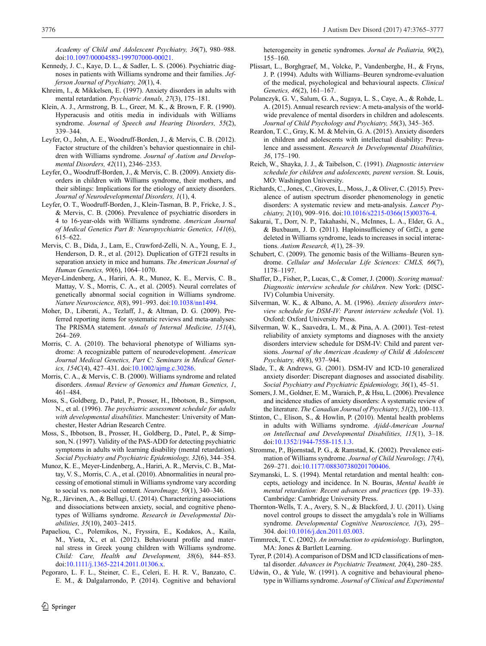*Academy of Child and Adolescent Psychiatry, 36*(7), 980–988. doi[:10.1097/00004583-199707000-00021](http://dx.doi.org/10.1097/00004583-199707000-00021).

- <span id="page-11-20"></span>Kennedy, J. C., Kaye, D. L., & Sadler, L. S. (2006). Psychiatric diagnoses in patients with Williams syndrome and their families. *Jefferson Journal of Psychiatry, 20*(1), 4.
- <span id="page-11-35"></span>Khreim, I., & Mikkelsen, E. (1997). Anxiety disorders in adults with mental retardation. *Psychiatric Annals, 27*(3), 175–181.
- <span id="page-11-30"></span>Klein, A. J., Armstrong, B. L., Greer, M. K., & Brown, F. R. (1990). Hyperacusis and otitis media in individuals with Williams syndrome. *Journal of Speech and Hearing Disorders, 55*(2), 339–344.
- <span id="page-11-21"></span>Leyfer, O., John, A. E., Woodruff-Borden, J., & Mervis, C. B. (2012). Factor structure of the children's behavior questionnaire in children with Williams syndrome. *Journal of Autism and Developmental Disorders, 42*(11), 2346–2353.
- <span id="page-11-22"></span>Leyfer, O., Woodruff-Borden, J., & Mervis, C. B. (2009). Anxiety disorders in children with Williams syndrome, their mothers, and their siblings: Implications for the etiology of anxiety disorders. *Journal of Neurodevelopmental Disorders, 1*(1), 4.
- <span id="page-11-23"></span>Leyfer, O. T., Woodruff-Borden, J., Klein-Tasman, B. P., Fricke, J. S., & Mervis, C. B. (2006). Prevalence of psychiatric disorders in 4 to 16-year-olds with Williams syndrome. *American Journal of Medical Genetics Part B: Neuropsychiatric Genetics, 141*(6), 615–622.
- <span id="page-11-24"></span>Mervis, C. B., Dida, J., Lam, E., Crawford-Zelli, N. A., Young, E. J., Henderson, D. R., et al. (2012). Duplication of GTF2I results in separation anxiety in mice and humans. *The American Journal of Human Genetics, 90*(6), 1064–1070.
- <span id="page-11-31"></span>Meyer-Lindenberg, A., Hariri, A. R., Munoz, K. E., Mervis, C. B., Mattay, V. S., Morris, C. A., et al. (2005). Neural correlates of genetically abnormal social cognition in Williams syndrome. *Nature Neuroscience, 8*(8), 991–993. doi[:10.1038/nn1494.](http://dx.doi.org/10.1038/nn1494)
- <span id="page-11-5"></span>Moher, D., Liberati, A., Tezlaff, J., & Altman, D. G. (2009). Preferred reporting items for systematic reviews and meta-analyses: The PRISMA statement. *Annals of Internal Medicine, 151*(4), 264–269.
- <span id="page-11-2"></span>Morris, C. A. (2010). The behavioral phenotype of Williams syndrome: A recognizable pattern of neurodevelopment. *American Journal Medical Genetics, Part C: Seminars in Medical Genetics, 154C*(4), 427–431. doi:[10.1002/ajmg.c.30286.](http://dx.doi.org/10.1002/ajmg.c.30286)
- <span id="page-11-3"></span>Morris, C. A., & Mervis, C. B. (2000). Williams syndrome and related disorders. *Annual Review of Genomics and Human Genetics, 1*, 461–484.
- <span id="page-11-15"></span>Moss, S., Goldberg, D., Patel, P., Prosser, H., Ibbotson, B., Simpson, N., et al. (1996). *The psychiatric assessment schedule for adults with developmental disabilities*. Manchester: University of Manchester, Hester Adrian Research Centre.
- <span id="page-11-17"></span>Moss, S., Ibbotson, B., Prosser, H., Goldberg, D., Patel, P., & Simpson, N. (1997). Validity of the PAS-ADD for detecting psychiatric symptoms in adults with learning disability (mental retardation). *Social Psychiatry and Psychiatric Epidemiology, 32*(6), 344–354.
- <span id="page-11-32"></span>Munoz, K. E., Meyer-Lindenberg, A., Hariri, A. R., Mervis, C. B., Mattay, V. S., Morris, C. A., et al. (2010). Abnormalities in neural processing of emotional stimuli in Williams syndrome vary according to social vs. non-social content. *NeuroImage, 50*(1), 340–346.
- <span id="page-11-29"></span>Ng, R., Järvinen, A., & Bellugi, U. (2014). Characterizing associations and dissociations between anxiety, social, and cognitive phenotypes of Williams syndrome. *Research in Developmental Disabilities, 35*(10), 2403–2415.
- <span id="page-11-7"></span>Papaeliou, C., Polemikos, N., Fryssira, E., Kodakos, A., Kaila, M., Yiota, X., et al. (2012). Behavioural profle and maternal stress in Greek young children with Williams syndrome. *Child: Care, Health and Development, 38*(6), 844–853. doi[:10.1111/j.1365-2214.2011.01306.x](http://dx.doi.org/10.1111/j.1365-2214.2011.01306.x).
- <span id="page-11-10"></span>Pegoraro, L. F. L., Steiner, C. E., Celeri, E. H. R. V., Banzato, C. E. M., & Dalgalarrondo, P. (2014). Cognitive and behavioral

heterogeneity in genetic syndromes. *Jornal de Pediatria, 90*(2), 155–160.

- <span id="page-11-0"></span>Plissart, L., Borghgraef, M., Volcke, P., Vandenberghe, H., & Fryns, J. P. (1994). Adults with Williams–Beuren syndrome-evaluation of the medical, psychological and behavioural aspects. *Clinical Genetics, 46*(2), 161–167.
- <span id="page-11-19"></span>Polanczyk, G. V., Salum, G. A., Sugaya, L. S., Caye, A., & Rohde, L. A. (2015). Annual research review: A meta-analysis of the worldwide prevalence of mental disorders in children and adolescents. *Journal of Child Psychology and Psychiatry, 56*(3), 345–365.
- <span id="page-11-11"></span>Reardon, T. C., Gray, K. M. & Melvin, G. A. (2015). Anxiety disorders in children and adolescents with intellectual disability: Prevalence and assessment. *Research In Developmental Disabilities, 36*, 175–190.
- <span id="page-11-14"></span>Reich, W., Shayka, J. J., & Taibelson, C. (1991). *Diagnostic interview schedule for children and adolescents, parent version*. St. Louis, MO: Washington University.
- <span id="page-11-12"></span>Richards, C., Jones, C., Groves, L., Moss, J., & Oliver, C. (2015). Prevalence of autism spectrum disorder phenomenology in genetic disorders: A systematic review and meta-analysis. *Lancet Psychiatry, 2*(10), 909–916. doi:[10.1016/s2215-0366\(15\)00376-4.](http://dx.doi.org/10.1016/s2215-0366(15)00376-4)
- <span id="page-11-26"></span>Sakurai, T., Dorr, N. P., Takahashi, N., McInnes, L. A., Elder, G. A., & Buxbaum, J. D. (2011). Haploinsuffciency of Gtf2i, a gene deleted in Williams syndrome, leads to increases in social interactions. *Autism Research, 4*(1), 28–39.
- <span id="page-11-25"></span>Schubert, C. (2009). The genomic basis of the Williams–Beuren syndrome. *Cellular and Molecular Life Sciences: CMLS, 66*(7), 1178–1197.
- <span id="page-11-18"></span>Shaffer, D., Fisher, P., Lucas, C., & Comer, J. (2000). *Scoring manual: Diagnostic interview schedule for children*. New York: (DISC-IV) Columbia University.
- <span id="page-11-13"></span>Silverman, W. K., & Albano, A. M. (1996). *Anxiety disorders interview schedule for DSM-IV: Parent interview schedule* (Vol. 1). Oxford: Oxford University Press.
- <span id="page-11-16"></span>Silverman, W. K., Saavedra, L. M., & Pina, A. A. (2001). Test–retest reliability of anxiety symptoms and diagnoses with the anxiety disorders interview schedule for DSM-IV: Child and parent versions. *Journal of the American Academy of Child & Adolescent Psychiatry, 40*(8), 937–944.
- <span id="page-11-28"></span>Slade, T., & Andrews, G. (2001). DSM-IV and ICD-10 generalized anxiety disorder: Discrepant diagnoses and associated disability. *Social Psychiatry and Psychiatric Epidemiology, 36*(1), 45–51.
- <span id="page-11-9"></span>Somers, J. M., Goldner, E. M., Waraich, P., & Hsu, L. (2006). Prevalence and incidence studies of anxiety disorders: A systematic review of the literature. *The Canadian Journal of Psychiatry, 51*(2), 100–113.
- <span id="page-11-8"></span>Stinton, C., Elison, S., & Howlin, P. (2010). Mental health problems in adults with Williams syndrome. *Ajidd-American Journal on Intellectual and Developmental Disabilities, 115*(1), 3–18. doi[:10.1352/1944-7558-115.1.3](http://dx.doi.org/10.1352/1944-7558-115.1.3).
- <span id="page-11-1"></span>Stromme, P., Bjornstad, P. G., & Ramstad, K. (2002). Prevalence estimation of Williams syndrome. *Journal of Child Neurology, 17*(4), 269–271. doi[:10.1177/088307380201700406.](http://dx.doi.org/10.1177/088307380201700406)
- <span id="page-11-34"></span>Szymanski, L. S. (1994). Mental retardation and mental health: concepts, aetiology and incidence. In N. Bouras, *Mental health in mental retardation: Recent advances and practices* (pp. 19–33). Cambridge: Cambridge University Press.
- <span id="page-11-33"></span>Thornton-Wells, T. A., Avery, S. N., & Blackford, J. U. (2011). Using novel control groups to dissect the amygdala's role in Williams syndrome. *Developmental Cognitive Neuroscience, 1*(3), 295– 304. doi[:10.1016/j.dcn.2011.03.003](http://dx.doi.org/10.1016/j.dcn.2011.03.003).
- <span id="page-11-4"></span>Timmreck, T. C. (2002). *An introduction to epidemiology*. Burlington, MA: Jones & Bartlett Learning.
- <span id="page-11-27"></span>Tyrer, P. (2014). A comparison of DSM and ICD classifcations of mental disorder. *Advances in Psychiatric Treatment, 20*(4), 280–285.
- <span id="page-11-6"></span>Udwin, O., & Yule, W. (1991). A cognitive and behavioural phenotype in Williams syndrome. *Journal of Clinical and Experimental*